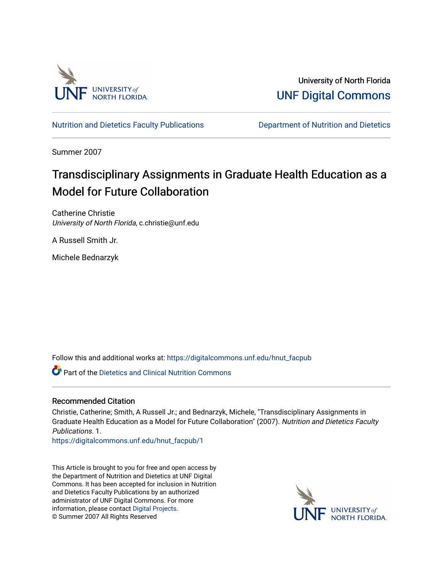

University of North Florida [UNF Digital Commons](https://digitalcommons.unf.edu/) 

[Nutrition and Dietetics Faculty Publications](https://digitalcommons.unf.edu/hnut_facpub) [Department of Nutrition and Dietetics](https://digitalcommons.unf.edu/hnut) 

Summer 2007

# Transdisciplinary Assignments in Graduate Health Education as a Model for Future Collaboration

Catherine Christie University of North Florida, c.christie@unf.edu

A Russell Smith Jr.

Michele Bednarzyk

Follow this and additional works at: [https://digitalcommons.unf.edu/hnut\\_facpub](https://digitalcommons.unf.edu/hnut_facpub?utm_source=digitalcommons.unf.edu%2Fhnut_facpub%2F1&utm_medium=PDF&utm_campaign=PDFCoverPages) 

**C** Part of the Dietetics and Clinical Nutrition Commons

### Recommended Citation

Christie, Catherine; Smith, A Russell Jr.; and Bednarzyk, Michele, "Transdisciplinary Assignments in Graduate Health Education as a Model for Future Collaboration" (2007). Nutrition and Dietetics Faculty Publications. 1.

[https://digitalcommons.unf.edu/hnut\\_facpub/1](https://digitalcommons.unf.edu/hnut_facpub/1?utm_source=digitalcommons.unf.edu%2Fhnut_facpub%2F1&utm_medium=PDF&utm_campaign=PDFCoverPages) 

This Article is brought to you for free and open access by the Department of Nutrition and Dietetics at UNF Digital Commons. It has been accepted for inclusion in Nutrition and Dietetics Faculty Publications by an authorized administrator of UNF Digital Commons. For more information, please contact [Digital Projects](mailto:lib-digital@unf.edu). © Summer 2007 All Rights Reserved

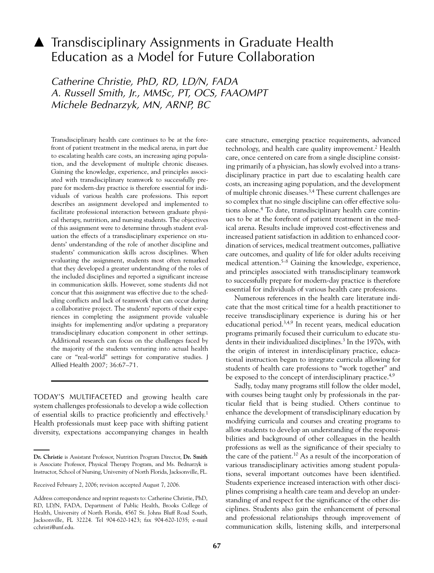## ▲ Transdisciplinary Assignments in Graduate Health Education as a Model for Future Collaboration

Catherine Christie, PhD, RD, LD/N, FADA A. Russell Smith, Jr., MMSc, PT, OCS, FAAOMPT Michele Bednarzyk, MN, ARNP, BC

Transdisciplinary health care continues to be at the forefront of patient treatment in the medical arena, in part due to escalating health care costs, an increasing aging population, and the development of multiple chronic diseases. Gaining the knowledge, experience, and principles associated with transdisciplinary teamwork to successfully prepare for modern-day practice is therefore essential for individuals of various health care professions. This report describes an assignment developed and implemented to facilitate professional interaction between graduate physical therapy, nutrition, and nursing students. The objectives of this assignment were to determine through student evaluation the effects of a transdisciplinary experience on students' understanding of the role of another discipline and students' communication skills across disciplines. When evaluating the assignment, students most often remarked that they developed a greater understanding of the roles of the included disciplines and reported a significant increase in communication skills. However, some students did not concur that this assignment was effective due to the scheduling conflicts and lack of teamwork that can occur during a collaborative project. The students' reports of their experiences in completing the assignment provide valuable insights for implementing and/or updating a preparatory transdisciplinary education component in other settings. Additional research can focus on the challenges faced by the majority of the students venturing into actual health care or "real-world" settings for comparative studies. J Allied Health 2007; 36:67-71.

TODAY'S MULTIFACETED and growing health care system challenges professionals to develop a wide collection of essential skills to practice proficiently and effectively.<sup>1</sup> Health professionals must keep pace with shifting patient diversity, expectations accompanying changes in health care structure, emerging practice requirements, advanced technology, and health care quality improvement.<sup>2</sup> Health care, once centered on care from a single discipline consisting primarily of a physician, has slowly evolved into a transdisciplinary practice in part due to escalating health care costs, an increasing aging population, and the development of multiple chronic diseases.<sup>3,4</sup> These current challenges are so complex that no single discipline can offer effective solutions alone.<sup>4</sup> To date, transdisciplinary health care continues to be at the forefront of patient treatment in the medical arena. Results include improved cost-effectiveness and increased patient satisfaction in addition to enhanced coordination of services, medical treatment outcomes, palliative care outcomes, and quality of life for older adults receiving medical attention.<sup>5-8</sup> Gaining the knowledge, experience, and principles associated with transdisciplinary teamwork to successfully prepare for modern-day practice is therefore essential for individuals of various health care professions.

Numerous references in the health care literature indicate that the most critical time for a health practitioner to receive transdisciplinary experience is during his or her educational period.<sup>3,4,9</sup> In recent years, medical education programs primarily focused their curriculum to educate students in their individualized disciplines.<sup>3</sup> In the 1970s, with the origin of interest in interdisciplinary practice, educational instruction began to integrate curricula allowing for students of health care professions to "work together" and be exposed to the concept of interdisciplinary practice.<sup>4,9</sup>

Sadly, today many programs still follow the older model, with courses being taught only by professionals in the particular field that is being studied. Others continue to enhance the development of transdisciplinary education by modifying curricula and courses and creating programs to allow students to develop an understanding of the responsibilities and background of other colleagues in the health professions as well as the significance of their specialty to the care of the patient.<sup>10</sup> As a result of the incorporation of various transdisciplinary activities among student populations, several important outcomes have been identified. Students experience increased interaction with other disciplines comprising a health care team and develop an understanding of and respect for the significance of the other disciplines. Students also gain the enhancement of personal and professional relationships through improvement of communication skills, listening skills, and interpersonal

Dr. Christie is Assistant Professor, Nutrition Program Director, Dr. Smith is Associate Professor, Physical Therapy Program, and Ms. Bednarzyk is Instructor, School of Nursing, University of North Florida, Jacksonville, FL.

Received February 2, 2006; revision accepted August 7, 2006.

Address correspondence and reprint requests to: Catherine Christie, PhD, RD, LD/N, FADA, Department of Public Health, Brooks College of Health, University of North Florida, 4567 St. Johns Bluff Road South, Jacksonville, FL 32224. Tel 904-620-1423; fax 904-620-1035; e-mail cchristi@unf.edu.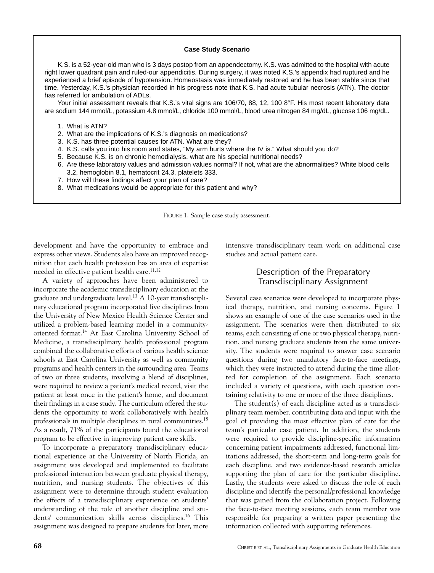#### **Case Study Scenario**

K.S. is a 52-year-old man who is 3 days postop from an appendectomy. K.S. was admitted to the hospital with acute right lower quadrant pain and ruled-our appendicitis. During surgery, it was noted K.S.'s appendix had ruptured and he experienced a brief episode of hypotension. Homeostasis was immediately restored and he has been stable since that time. Yesterday, K.S.'s physician recorded in his progress note that K.S. had acute tubular necrosis (ATN). The doctor has referred for ambulation of ADLs.

Your initial assessment reveals that K.S.'s vital signs are 106/70, 88, 12, 100 8°F. His most recent laboratory data are sodium 144 mmol/L, potassium 4.8 mmol/L, chloride 100 mmol/L, blood urea nitrogen 84 mg/dL, glucose 106 mg/dL.

1. What is ATN?

- 2. What are the implications of K.S.'s diagnosis on medications?
- 3. K.S. has three potential causes for ATN. What are they?
- 4. K.S. calls you into his room and states, "My arm hurts where the IV is." What should you do?
- 5. Because K.S. is on chronic hemodialysis, what are his special nutritional needs?
- 6. Are these laboratory values and admission values normal? If not, what are the abnormalities? White blood cells 3.2, hemoglobin 8.1, hematocrit 24.3, platelets 333.
- 7. How will these findings affect your plan of care?
- 8. What medications would be appropriate for this patient and why?

FIGURE 1. Sample case study assessment.

development and have the opportunity to embrace and express other views. Students also have an improved recognition that each health profession has an area of expertise needed in effective patient health care.<sup>11,12</sup>

A variety of approaches have been administered to incorporate the academic transdisciplinary education at the graduate and undergraduate level.<sup>13</sup> A 10-year transdisciplinary educational program incorporated five disciplines from the University of New Mexico Health Science Center and utilized a problem-based learning model in a communityoriented format.<sup>14</sup> At East Carolina University School of Medicine, a transdisciplinary health professional program combined the collaborative efforts of various health science schools at East Carolina University as well as community programs and health centers in the surrounding area. Teams of two or three students, involving a blend of disciplines, were required to review a patient's medical record, visit the patient at least once in the patient's home, and document their findings in a case study. The curriculum offered the students the opportunity to work collaboratively with health professionals in multiple disciplines in rural communities.<sup>15</sup> As a result, 71% of the participants found the educational program to be effective in improving patient care skills.

To incorporate a preparatory transdisciplinary educational experience at the University of North Florida, an assignment was developed and implemented to facilitate professional interaction between graduate physical therapy, nutrition, and nursing students. The objectives of this assignment were to determine through student evaluation the effects of a transdisciplinary experience on students' understanding of the role of another discipline and students' communication skills across disciplines.<sup>16</sup> This assignment was designed to prepare students for later, more

intensive transdisciplinary team work on additional case studies and actual patient care.

## Description of the Preparatory **Transdisciplinary Assignment**

Several case scenarios were developed to incorporate physical therapy, nutrition, and nursing concerns. Figure 1 shows an example of one of the case scenarios used in the assignment. The scenarios were then distributed to six teams, each consisting of one or two physical therapy, nutrition, and nursing graduate students from the same university. The students were required to answer case scenario questions during two mandatory face-to-face meetings, which they were instructed to attend during the time allotted for completion of the assignment. Each scenario included a variety of questions, with each question containing relativity to one or more of the three disciplines.

The student(s) of each discipline acted as a transdisciplinary team member, contributing data and input with the goal of providing the most effective plan of care for the team's particular case patient. In addition, the students were required to provide discipline-specific information concerning patient impairments addressed, functional limitations addressed, the short-term and long-term goals for each discipline, and two evidence-based research articles supporting the plan of care for the particular discipline. Lastly, the students were asked to discuss the role of each discipline and identify the personal/professional knowledge that was gained from the collaboration project. Following the face-to-face meeting sessions, each team member was responsible for preparing a written paper presenting the information collected with supporting references.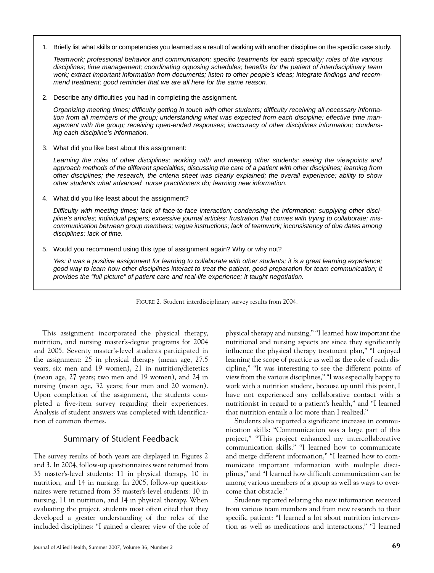1. Briefly list what skills or competencies you learned as a result of working with another discipline on the specific case study.

Teamwork; professional behavior and communication; specific treatments for each specialty; roles of the various disciplines; time management; coordinating opposing schedules; benefits for the patient of interdisciplinary team work; extract important information from documents; listen to other people's ideas; integrate findings and recommend treatment; good reminder that we are all here for the same reason.

2. Describe any difficulties you had in completing the assignment.

Organizing meeting times; difficulty getting in touch with other students; difficulty receiving all necessary information from all members of the group; understanding what was expected from each discipline; effective time management with the group; receiving open-ended responses; inaccuracy of other disciplines information; condensing each discipline's information.

3. What did you like best about this assignment:

Learning the roles of other disciplines; working with and meeting other students; seeing the viewpoints and approach methods of the different specialties; discussing the care of a patient with other disciplines; learning from other disciplines; the research, the criteria sheet was clearly explained; the overall experience; ability to show other students what advanced nurse practitioners do; learning new information.

4. What did you like least about the assignment?

Difficulty with meeting times; lack of face-to-face interaction; condensing the information; supplying other discipline's articles; individual papers; excessive journal articles; frustration that comes with trying to collaborate; miscommunication between group members; vaque instructions; lack of teamwork; inconsistency of due dates among disciplines; lack of time.

5. Would you recommend using this type of assignment again? Why or why not?

Yes: it was a positive assignment for learning to collaborate with other students; it is a great learning experience; good way to learn how other disciplines interact to treat the patient, good preparation for team communication; it provides the "full picture" of patient care and real-life experience; it taught negotiation.

FIGURE 2. Student interdisciplinary survey results from 2004.

This assignment incorporated the physical therapy, nutrition, and nursing master's-degree programs for 2004 and 2005. Seventy master's-level students participated in the assignment: 25 in physical therapy (mean age, 27.5 years; six men and 19 women), 21 in nutrition/dietetics (mean age, 27 years; two men and 19 women), and 24 in nursing (mean age, 32 years; four men and 20 women). Upon completion of the assignment, the students completed a five-item survey regarding their experiences. Analysis of student answers was completed with identification of common themes.

### Summary of Student Feedback

The survey results of both years are displayed in Figures 2 and 3. In 2004, follow-up questionnaires were returned from 35 master's-level students: 11 in physical therapy, 10 in nutrition, and 14 in nursing. In 2005, follow-up questionnaires were returned from 35 master's-level students: 10 in nursing, 11 in nutrition, and 14 in physical therapy. When evaluating the project, students most often cited that they developed a greater understanding of the roles of the included disciplines: "I gained a clearer view of the role of

physical therapy and nursing," "I learned how important the nutritional and nursing aspects are since they significantly influence the physical therapy treatment plan," "I enjoyed learning the scope of practice as well as the role of each discipline," "It was interesting to see the different points of view from the various disciplines," "I was especially happy to work with a nutrition student, because up until this point, I have not experienced any collaborative contact with a nutritionist in regard to a patient's health," and "I learned that nutrition entails a lot more than I realized."

Students also reported a significant increase in communication skills: "Communication was a large part of this project," "This project enhanced my intercollaborative communication skills," "I learned how to communicate and merge different information," "I learned how to communicate important information with multiple disciplines," and "I learned how difficult communication can be among various members of a group as well as ways to overcome that obstacle."

Students reported relating the new information received from various team members and from new research to their specific patient: "I learned a lot about nutrition intervention as well as medications and interactions," "I learned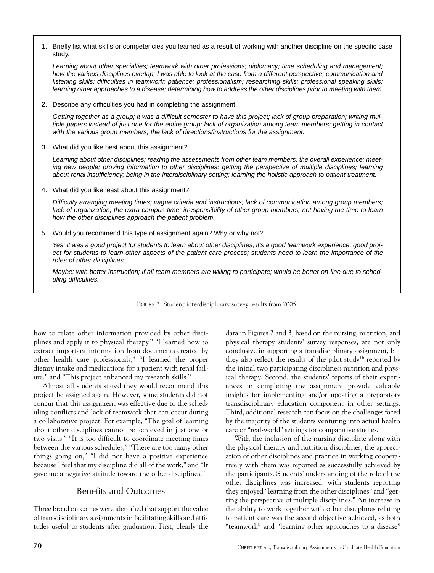1. Briefly list what skills or competencies you learned as a result of working with another discipline on the specific case study.

Learning about other specialties; teamwork with other professions; diplomacy; time scheduling and management; how the various disciplines overlap; I was able to look at the case from a different perspective; communication and listening skills; difficulties in teamwork; patience; professionalism; researching skills; professional speaking skills; learning other approaches to a disease; determining how to address the other disciplines prior to meeting with them.

2. Describe any difficulties you had in completing the assignment.

Getting together as a group; it was a difficult semester to have this project; lack of group preparation; writing multiple papers instead of just one for the entire group; lack of organization among team members; getting in contact with the various group members; the lack of directions/instructions for the assignment.

3. What did you like best about this assignment?

Learning about other disciplines; reading the assessments from other team members; the overall experience; meeting new people; proving information to other disciplines; getting the perspective of multiple disciplines; learning about renal insufficiency; being in the interdisciplinary setting; learning the holistic approach to patient treatment.

4. What did you like least about this assignment?

Difficulty arranging meeting times; vague criteria and instructions; lack of communication among group members; lack of organization; the extra campus time; irresponsibility of other group members; not having the time to learn how the other disciplines approach the patient problem.

5. Would you recommend this type of assignment again? Why or why not?

Yes: it was a good project for students to learn about other disciplines; it's a good teamwork experience; good project for students to learn other aspects of the patient care process; students need to learn the importance of the roles of other disciplines.

Maybe: with better instruction; if all team members are willing to participate; would be better on-line due to scheduling difficulties.

FIGURE 3. Student interdisciplinary survey results from 2005.

how to relate other information provided by other disciplines and apply it to physical therapy," "I learned how to extract important information from documents created by other health care professionals," "I learned the proper dietary intake and medications for a patient with renal failure," and "This project enhanced my research skills."

Almost all students stated they would recommend this project be assigned again. However, some students did not concur that this assignment was effective due to the scheduling conflicts and lack of teamwork that can occur during a collaborative project. For example, "The goal of learning about other disciplines cannot be achieved in just one or two visits," "It is too difficult to coordinate meeting times between the various schedules," "There are too many other things going on," "I did not have a positive experience because I feel that my discipline did all of the work," and "It gave me a negative attitude toward the other disciplines."

### **Benefits and Outcomes**

Three broad outcomes were identified that support the value of transdisciplinary assignments in facilitating skills and attitudes useful to students after graduation. First, clearly the

data in Figures 2 and 3, based on the nursing, nutrition, and physical therapy students' survey responses, are not only conclusive in supporting a transdisciplinary assignment, but they also reflect the results of the pilot study<sup>16</sup> reported by the initial two participating disciplines: nutrition and physical therapy. Second, the students' reports of their experiences in completing the assignment provide valuable insights for implementing and/or updating a preparatory transdisciplinary education component in other settings. Third, additional research can focus on the challenges faced by the majority of the students venturing into actual health care or "real-world" settings for comparative studies.

With the inclusion of the nursing discipline along with the physical therapy and nutrition disciplines, the appreciation of other disciplines and practice in working cooperatively with them was reported as successfully achieved by the participants. Students' understanding of the role of the other disciplines was increased, with students reporting they enjoyed "learning from the other disciplines" and "getting the perspective of multiple disciplines." An increase in the ability to work together with other disciplines relating to patient care was the second objective achieved, as both "teamwork" and "learning other approaches to a disease"